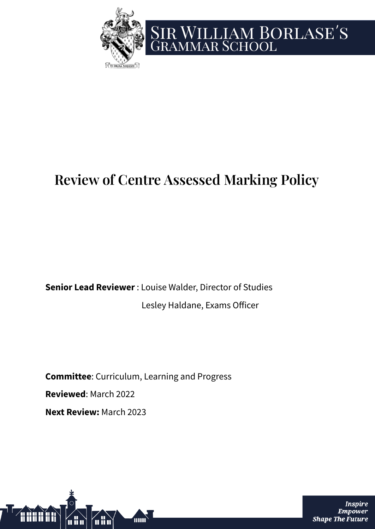

# SIR WILLIAM BORLASE'S<br>GRAMMAR SCHOOL

# **Review of Centre Assessed Marking Policy**

**Senior Lead Reviewer** : Louise Walder, Director of Studies Lesley Haldane, Exams Officer

**Committee**: Curriculum, Learning and Progress **Reviewed**: March 2022 **Next Review:** March 2023



Inspire **Empower Shape The Future**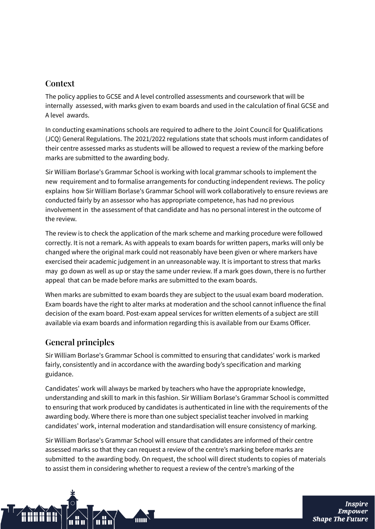## **Context**

The policy applies to GCSE and A level controlled assessments and coursework that will be internally assessed, with marks given to exam boards and used in the calculation of final GCSE and A level awards.

In conducting examinations schools are required to adhere to the Joint Council for Qualifications (JCQ) General Regulations. The 2021/2022 regulations state that schools must inform candidates of their centre assessed marks as students will be allowed to request a review of the marking before marks are submitted to the awarding body.

Sir William Borlase's Grammar School is working with local grammar schools to implement the new requirement and to formalise arrangements for conducting independent reviews. The policy explains how Sir William Borlase's Grammar School will work collaboratively to ensure reviews are conducted fairly by an assessor who has appropriate competence, has had no previous involvement in the assessment of that candidate and has no personal interest in the outcome of the review.

The review is to check the application of the mark scheme and marking procedure were followed correctly. It is not a remark. As with appeals to exam boards for written papers, marks will only be changed where the original mark could not reasonably have been given or where markers have exercised their academic judgement in an unreasonable way. It is important to stress that marks may go down as well as up or stay the same under review. If a mark goes down, there is no further appeal that can be made before marks are submitted to the exam boards.

When marks are submitted to exam boards they are subject to the usual exam board moderation. Exam boards have the right to alter marks at moderation and the school cannot influence the final decision of the exam board. Post-exam appeal services for written elements of a subject are still available via exam boards and information regarding this is available from our Exams Officer.

# **General principles**

Sir William Borlase's Grammar School is committed to ensuring that candidates' work is marked fairly, consistently and in accordance with the awarding body's specification and marking guidance.

Candidates' work will always be marked by teachers who have the appropriate knowledge, understanding and skill to mark in this fashion. Sir William Borlase's Grammar School is committed to ensuring that work produced by candidates is authenticated in line with the requirements of the awarding body. Where there is more than one subject specialist teacher involved in marking candidates' work, internal moderation and standardisation will ensure consistency of marking.

Sir William Borlase's Grammar School will ensure that candidates are informed of their centre assessed marks so that they can request a review of the centre's marking before marks are submitted to the awarding body. On request, the school will direct students to copies of materials to assist them in considering whether to request a review of the centre's marking of the

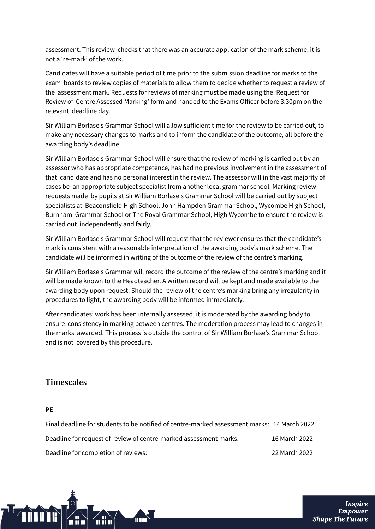assessment. This review checks that there was an accurate application of the mark scheme; it is not a 're-mark' of the work.

Candidates will have a suitable period of time prior to the submission deadline for marks to the exam boards to review copies of materials to allow them to decide whether to request a review of the assessment mark. Requests for reviews of marking must be made using the 'Request for Review of Centre Assessed Marking' form and handed to the Exams Officer before 3.30pm on the relevant deadline day.

Sir William Borlase's Grammar School will allow sufficient time for the review to be carried out, to make any necessary changes to marks and to inform the candidate of the outcome, all before the awarding body's deadline.

Sir William Borlase's Grammar School will ensure that the review of marking is carried out by an assessor who has appropriate competence, has had no previous involvement in the assessment of that candidate and has no personal interest in the review. The assessor will in the vast majority of cases be an appropriate subject specialist from another local grammar school. Marking review requests made by pupils at Sir William Borlase's Grammar School will be carried out by subject specialists at Beaconsfield High School, John Hampden Grammar School, Wycombe High School, Burnham Grammar School or The Royal Grammar School, High Wycombe to ensure the review is carried out independently and fairly.

Sir William Borlase's Grammar School will request that the reviewer ensures that the candidate's mark is consistent with a reasonable interpretation of the awarding body's mark scheme. The candidate will be informed in writing of the outcome of the review of the centre's marking.

Sir William Borlase's Grammar will record the outcome of the review of the centre's marking and it will be made known to the Headteacher. A written record will be kept and made available to the awarding body upon request. Should the review of the centre's marking bring any irregularity in procedures to light, the awarding body will be informed immediately.

After candidates' work has been internally assessed, it is moderated by the awarding body to ensure consistency in marking between centres. The moderation process may lead to changes in the marks awarded. This process is outside the control of Sir William Borlase's Grammar School and is not covered by this procedure.

# **Timescales**

**PE**

| Final deadline for students to be notified of centre-marked assessment marks: 14 March 2022 |               |
|---------------------------------------------------------------------------------------------|---------------|
| Deadline for request of review of centre-marked assessment marks:                           | 16 March 2022 |
| Deadline for completion of reviews:                                                         | 22 March 2022 |



**Inspire** Empower **Shape The Future**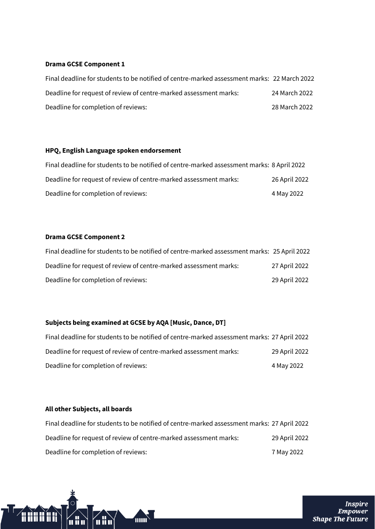#### **Drama GCSE Component 1**

| Final deadline for students to be notified of centre-marked assessment marks: 22 March 2022 |               |
|---------------------------------------------------------------------------------------------|---------------|
| Deadline for request of review of centre-marked assessment marks:                           | 24 March 2022 |
| Deadline for completion of reviews:                                                         | 28 March 2022 |

#### **HPQ, English Language spoken endorsement**

| Final deadline for students to be notified of centre-marked assessment marks: 8 April 2022 |               |
|--------------------------------------------------------------------------------------------|---------------|
| Deadline for request of review of centre-marked assessment marks:                          | 26 April 2022 |
| Deadline for completion of reviews:                                                        | 4 May 2022    |

#### **Drama GCSE Component 2**

| Final deadline for students to be notified of centre-marked assessment marks: 25 April 2022 |               |
|---------------------------------------------------------------------------------------------|---------------|
| Deadline for request of review of centre-marked assessment marks:                           | 27 April 2022 |
| Deadline for completion of reviews:                                                         | 29 April 2022 |

### **Subjects being examined at GCSE by AQA [Music, Dance, DT]**

TITULI

 $\sqrt{2}$ ii n $\sqrt{2}$ 

70<br>111

| Final deadline for students to be notified of centre-marked assessment marks: 27 April 2022 |               |
|---------------------------------------------------------------------------------------------|---------------|
| Deadline for request of review of centre-marked assessment marks:                           | 29 April 2022 |
| Deadline for completion of reviews:                                                         | 4 May 2022    |

#### **All other Subjects, all boards**

î di di d

| Final deadline for students to be notified of centre-marked assessment marks: 27 April 2022 |               |
|---------------------------------------------------------------------------------------------|---------------|
| Deadline for request of review of centre-marked assessment marks:                           | 29 April 2022 |
| Deadline for completion of reviews:                                                         | 7 May 2022    |